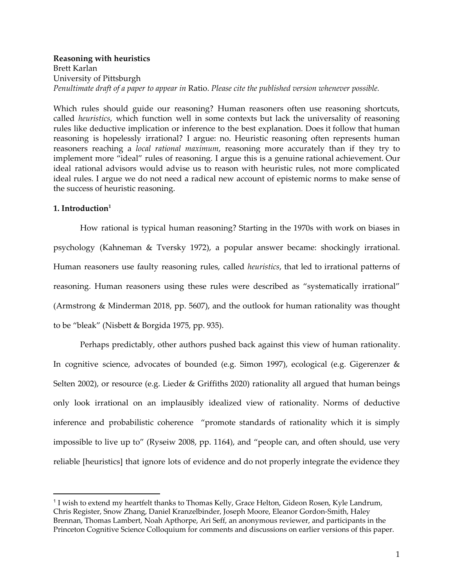## **Reasoning with heuristics** Brett Karlan University of Pittsburgh *Penultimate draft of a paper to appear in* Ratio. *Please cite the published version whenever possible.*

Which rules should guide our reasoning? Human reasoners often use reasoning shortcuts, called *heuristics*, which function well in some contexts but lack the universality of reasoning rules like deductive implication or inference to the best explanation. Does it follow that human reasoning is hopelessly irrational? I argue: no. Heuristic reasoning often represents human reasoners reaching a *local rational maximum*, reasoning more accurately than if they try to implement more "ideal" rules of reasoning. I argue this is a genuine rational achievement. Our ideal rational advisors would advise us to reason with heuristic rules, not more complicated ideal rules. I argue we do not need a radical new account of epistemic norms to make sense of the success of heuristic reasoning.

# **1. Introduction 1**

How rational is typical human reasoning? Starting in the 1970s with work on biases in psychology (Kahneman & Tversky 1972), a popular answer became: shockingly irrational. Human reasoners use faulty reasoning rules, called *heuristics*, that led to irrational patterns of reasoning. Human reasoners using these rules were described as "systematically irrational" (Armstrong & Minderman 2018, pp. 5607), and the outlook for human rationality was thought to be "bleak" (Nisbett & Borgida 1975, pp. 935).

Perhaps predictably, other authors pushed back against this view of human rationality. In cognitive science, advocates of bounded (e.g. Simon 1997), ecological (e.g. Gigerenzer & Selten 2002), or resource (e.g. Lieder & Griffiths 2020) rationality all argued that human beings only look irrational on an implausibly idealized view of rationality. Norms of deductive inference and probabilistic coherence "promote standards of rationality which it is simply impossible to live up to" (Ryseiw 2008, pp. 1164), and "people can, and often should, use very reliable [heuristics] that ignore lots of evidence and do not properly integrate the evidence they

<sup>&</sup>lt;sup>1</sup> I wish to extend my heartfelt thanks to Thomas Kelly, Grace Helton, Gideon Rosen, Kyle Landrum, Chris Register, Snow Zhang, Daniel Kranzelbinder, Joseph Moore, Eleanor Gordon-Smith, Haley Brennan, Thomas Lambert, Noah Apthorpe, Ari Seff, an anonymous reviewer, and participants in the Princeton Cognitive Science Colloquium for comments and discussions on earlier versions of this paper.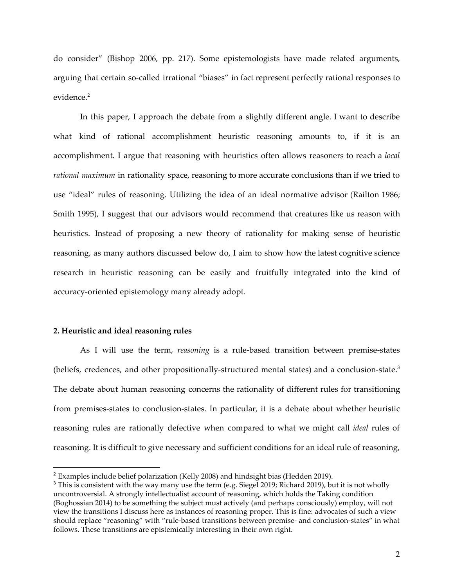do consider" (Bishop 2006, pp. 217). Some epistemologists have made related arguments, arguing that certain so-called irrational "biases" in fact represent perfectly rational responses to evidence. 2

In this paper, I approach the debate from a slightly different angle. I want to describe what kind of rational accomplishment heuristic reasoning amounts to, if it is an accomplishment. I argue that reasoning with heuristics often allows reasoners to reach a *local rational maximum* in rationality space, reasoning to more accurate conclusions than if we tried to use "ideal" rules of reasoning. Utilizing the idea of an ideal normative advisor (Railton 1986; Smith 1995), I suggest that our advisors would recommend that creatures like us reason with heuristics. Instead of proposing a new theory of rationality for making sense of heuristic reasoning, as many authors discussed below do, I aim to show how the latest cognitive science research in heuristic reasoning can be easily and fruitfully integrated into the kind of accuracy-oriented epistemology many already adopt.

## **2. Heuristic and ideal reasoning rules**

As I will use the term, *reasoning* is a rule-based transition between premise-states (beliefs, credences, and other propositionally-structured mental states) and a conclusion-state.<sup>3</sup> The debate about human reasoning concerns the rationality of different rules for transitioning from premises-states to conclusion-states. In particular, it is a debate about whether heuristic reasoning rules are rationally defective when compared to what we might call *ideal* rules of reasoning. It is difficult to give necessary and sufficient conditions for an ideal rule of reasoning,

<sup>2</sup> Examples include belief polarization (Kelly 2008) and hindsight bias (Hedden 2019).

<sup>&</sup>lt;sup>3</sup> This is consistent with the way many use the term (e.g. Siegel 2019; Richard 2019), but it is not wholly uncontroversial. A strongly intellectualist account of reasoning, which holds the Taking condition (Boghossian 2014) to be something the subject must actively (and perhaps consciously) employ, will not view the transitions I discuss here as instances of reasoning proper. This is fine: advocates of such a view should replace "reasoning" with "rule-based transitions between premise- and conclusion-states" in what follows. These transitions are epistemically interesting in their own right.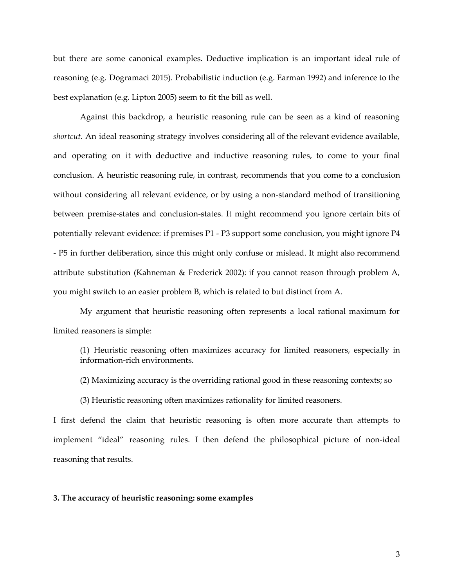but there are some canonical examples. Deductive implication is an important ideal rule of reasoning (e.g. Dogramaci 2015). Probabilistic induction (e.g. Earman 1992) and inference to the best explanation (e.g. Lipton 2005) seem to fit the bill as well.

Against this backdrop, a heuristic reasoning rule can be seen as a kind of reasoning *shortcut*. An ideal reasoning strategy involves considering all of the relevant evidence available, and operating on it with deductive and inductive reasoning rules, to come to your final conclusion. A heuristic reasoning rule, in contrast, recommends that you come to a conclusion without considering all relevant evidence, or by using a non-standard method of transitioning between premise-states and conclusion-states. It might recommend you ignore certain bits of potentially relevant evidence: if premises P1 - P3 support some conclusion, you might ignore P4 - P5 in further deliberation, since this might only confuse or mislead. It might also recommend attribute substitution (Kahneman & Frederick 2002): if you cannot reason through problem A, you might switch to an easier problem B, which is related to but distinct from A.

My argument that heuristic reasoning often represents a local rational maximum for limited reasoners is simple:

(1) Heuristic reasoning often maximizes accuracy for limited reasoners, especially in information-rich environments.

(2) Maximizing accuracy is the overriding rational good in these reasoning contexts; so

(3) Heuristic reasoning often maximizes rationality for limited reasoners.

I first defend the claim that heuristic reasoning is often more accurate than attempts to implement "ideal" reasoning rules. I then defend the philosophical picture of non-ideal reasoning that results.

#### **3. The accuracy of heuristic reasoning: some examples**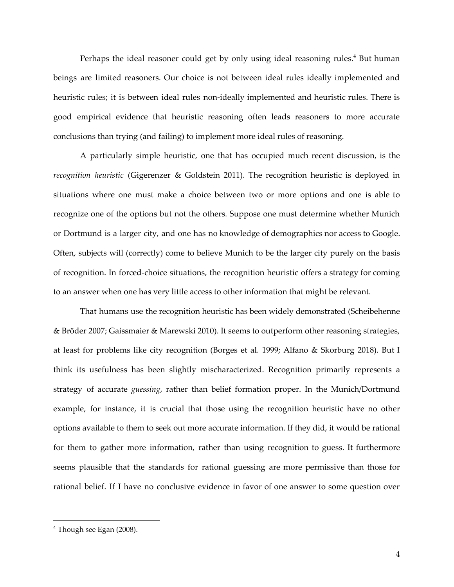Perhaps the ideal reasoner could get by only using ideal reasoning rules.<sup>4</sup> But human beings are limited reasoners. Our choice is not between ideal rules ideally implemented and heuristic rules; it is between ideal rules non-ideally implemented and heuristic rules. There is good empirical evidence that heuristic reasoning often leads reasoners to more accurate conclusions than trying (and failing) to implement more ideal rules of reasoning.

A particularly simple heuristic, one that has occupied much recent discussion, is the *recognition heuristic* (Gigerenzer & Goldstein 2011). The recognition heuristic is deployed in situations where one must make a choice between two or more options and one is able to recognize one of the options but not the others. Suppose one must determine whether Munich or Dortmund is a larger city, and one has no knowledge of demographics nor access to Google. Often, subjects will (correctly) come to believe Munich to be the larger city purely on the basis of recognition. In forced-choice situations, the recognition heuristic offers a strategy for coming to an answer when one has very little access to other information that might be relevant.

That humans use the recognition heuristic has been widely demonstrated (Scheibehenne & Bröder 2007; Gaissmaier & Marewski 2010). It seems to outperform other reasoning strategies, at least for problems like city recognition (Borges et al. 1999; Alfano & Skorburg 2018). But I think its usefulness has been slightly mischaracterized. Recognition primarily represents a strategy of accurate *guessing*, rather than belief formation proper. In the Munich/Dortmund example, for instance, it is crucial that those using the recognition heuristic have no other options available to them to seek out more accurate information. If they did, it would be rational for them to gather more information, rather than using recognition to guess. It furthermore seems plausible that the standards for rational guessing are more permissive than those for rational belief. If I have no conclusive evidence in favor of one answer to some question over

<sup>4</sup> Though see Egan (2008).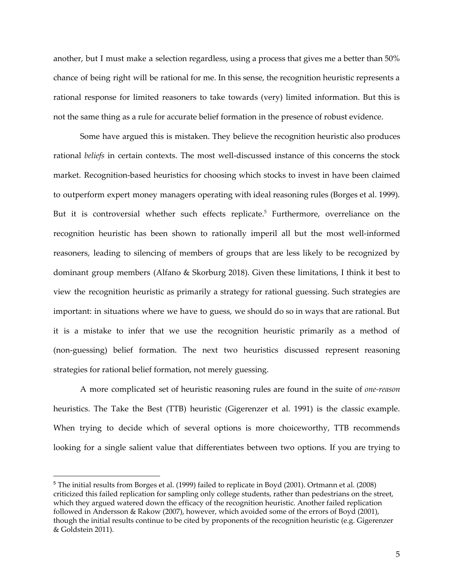another, but I must make a selection regardless, using a process that gives me a better than 50% chance of being right will be rational for me. In this sense, the recognition heuristic represents a rational response for limited reasoners to take towards (very) limited information. But this is not the same thing as a rule for accurate belief formation in the presence of robust evidence.

Some have argued this is mistaken. They believe the recognition heuristic also produces rational *beliefs* in certain contexts. The most well-discussed instance of this concerns the stock market. Recognition-based heuristics for choosing which stocks to invest in have been claimed to outperform expert money managers operating with ideal reasoning rules (Borges et al. 1999). But it is controversial whether such effects replicate.<sup>5</sup> Furthermore, overreliance on the recognition heuristic has been shown to rationally imperil all but the most well-informed reasoners, leading to silencing of members of groups that are less likely to be recognized by dominant group members (Alfano & Skorburg 2018). Given these limitations, I think it best to view the recognition heuristic as primarily a strategy for rational guessing. Such strategies are important: in situations where we have to guess, we should do so in ways that are rational. But it is a mistake to infer that we use the recognition heuristic primarily as a method of (non-guessing) belief formation. The next two heuristics discussed represent reasoning strategies for rational belief formation, not merely guessing.

A more complicated set of heuristic reasoning rules are found in the suite of *one-reason* heuristics. The Take the Best (TTB) heuristic (Gigerenzer et al. 1991) is the classic example. When trying to decide which of several options is more choiceworthy, TTB recommends looking for a single salient value that differentiates between two options. If you are trying to

<sup>5</sup> The initial results from Borges et al. (1999) failed to replicate in Boyd (2001). Ortmann et al. (2008) criticized this failed replication for sampling only college students, rather than pedestrians on the street, which they argued watered down the efficacy of the recognition heuristic. Another failed replication followed in Andersson & Rakow (2007), however, which avoided some of the errors of Boyd (2001), though the initial results continue to be cited by proponents of the recognition heuristic (e.g. Gigerenzer & Goldstein 2011).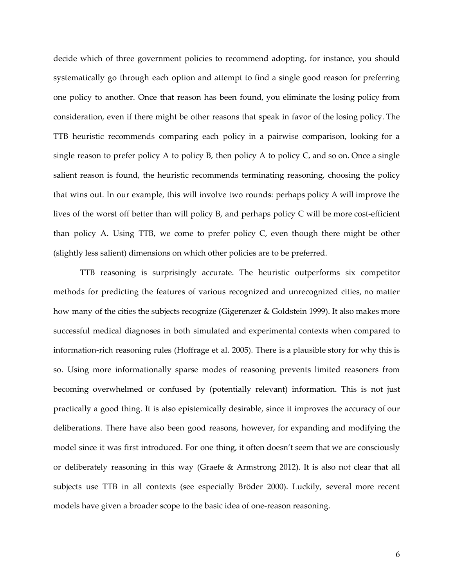decide which of three government policies to recommend adopting, for instance, you should systematically go through each option and attempt to find a single good reason for preferring one policy to another. Once that reason has been found, you eliminate the losing policy from consideration, even if there might be other reasons that speak in favor of the losing policy. The TTB heuristic recommends comparing each policy in a pairwise comparison, looking for a single reason to prefer policy A to policy B, then policy A to policy C, and so on. Once a single salient reason is found, the heuristic recommends terminating reasoning, choosing the policy that wins out. In our example, this will involve two rounds: perhaps policy A will improve the lives of the worst off better than will policy B, and perhaps policy C will be more cost-efficient than policy A. Using TTB, we come to prefer policy C, even though there might be other (slightly less salient) dimensions on which other policies are to be preferred.

TTB reasoning is surprisingly accurate. The heuristic outperforms six competitor methods for predicting the features of various recognized and unrecognized cities, no matter how many of the cities the subjects recognize (Gigerenzer & Goldstein 1999). It also makes more successful medical diagnoses in both simulated and experimental contexts when compared to information-rich reasoning rules (Hoffrage et al. 2005). There is a plausible story for why this is so. Using more informationally sparse modes of reasoning prevents limited reasoners from becoming overwhelmed or confused by (potentially relevant) information. This is not just practically a good thing. It is also epistemically desirable, since it improves the accuracy of our deliberations. There have also been good reasons, however, for expanding and modifying the model since it was first introduced. For one thing, it often doesn't seem that we are consciously or deliberately reasoning in this way (Graefe & Armstrong 2012). It is also not clear that all subjects use TTB in all contexts (see especially Bröder 2000). Luckily, several more recent models have given a broader scope to the basic idea of one-reason reasoning.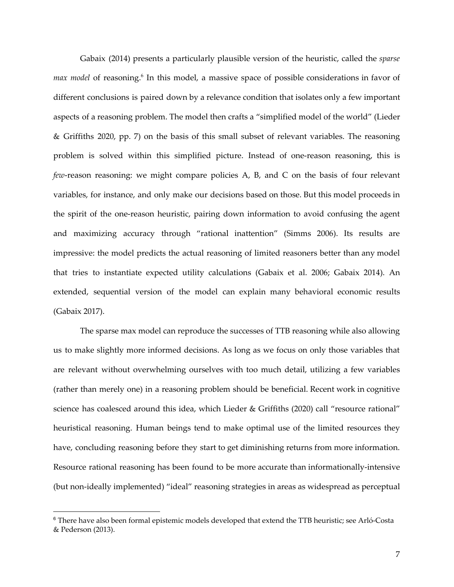Gabaix (2014) presents a particularly plausible version of the heuristic, called the *sparse* max model of reasoning.<sup>6</sup> In this model, a massive space of possible considerations in favor of different conclusions is paired down by a relevance condition that isolates only a few important aspects of a reasoning problem. The model then crafts a "simplified model of the world" (Lieder & Griffiths 2020, pp. 7) on the basis of this small subset of relevant variables. The reasoning problem is solved within this simplified picture. Instead of one-reason reasoning, this is *few*-reason reasoning: we might compare policies A, B, and C on the basis of four relevant variables, for instance, and only make our decisions based on those. But this model proceeds in the spirit of the one-reason heuristic, pairing down information to avoid confusing the agent and maximizing accuracy through "rational inattention" (Simms 2006). Its results are impressive: the model predicts the actual reasoning of limited reasoners better than any model that tries to instantiate expected utility calculations (Gabaix et al. 2006; Gabaix 2014). An extended, sequential version of the model can explain many behavioral economic results (Gabaix 2017).

The sparse max model can reproduce the successes of TTB reasoning while also allowing us to make slightly more informed decisions. As long as we focus on only those variables that are relevant without overwhelming ourselves with too much detail, utilizing a few variables (rather than merely one) in a reasoning problem should be beneficial. Recent work in cognitive science has coalesced around this idea, which Lieder & Griffiths (2020) call "resource rational" heuristical reasoning. Human beings tend to make optimal use of the limited resources they have, concluding reasoning before they start to get diminishing returns from more information. Resource rational reasoning has been found to be more accurate than informationally-intensive (but non-ideally implemented) "ideal" reasoning strategies in areas as widespread as perceptual

<sup>6</sup> There have also been formal epistemic models developed that extend the TTB heuristic; see Arló-Costa & Pederson (2013).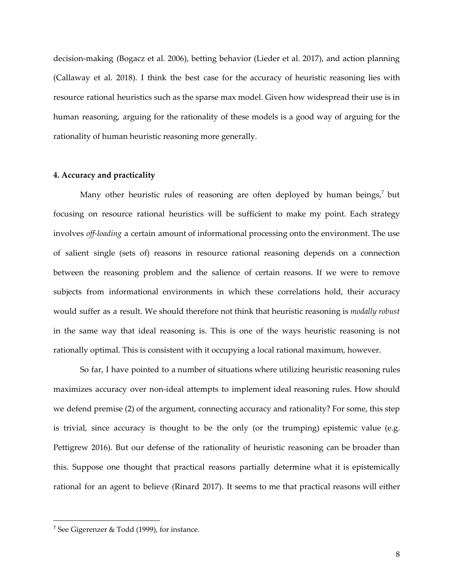decision-making (Bogacz et al. 2006), betting behavior (Lieder et al. 2017), and action planning (Callaway et al. 2018). I think the best case for the accuracy of heuristic reasoning lies with resource rational heuristics such as the sparse max model. Given how widespread their use is in human reasoning, arguing for the rationality of these models is a good way of arguing for the rationality of human heuristic reasoning more generally.

## **4. Accuracy and practicality**

Many other heuristic rules of reasoning are often deployed by human beings, $^7$  but focusing on resource rational heuristics will be sufficient to make my point. Each strategy involves *off-loading* a certain amount of informational processing onto the environment. The use of salient single (sets of) reasons in resource rational reasoning depends on a connection between the reasoning problem and the salience of certain reasons. If we were to remove subjects from informational environments in which these correlations hold, their accuracy would suffer as a result. We should therefore not think that heuristic reasoning is *modally robust* in the same way that ideal reasoning is. This is one of the ways heuristic reasoning is not rationally optimal. This is consistent with it occupying a local rational maximum, however.

So far, I have pointed to a number of situations where utilizing heuristic reasoning rules maximizes accuracy over non-ideal attempts to implement ideal reasoning rules. How should we defend premise (2) of the argument, connecting accuracy and rationality? For some, this step is trivial, since accuracy is thought to be the only (or the trumping) epistemic value (e.g. Pettigrew 2016). But our defense of the rationality of heuristic reasoning can be broader than this. Suppose one thought that practical reasons partially determine what it is epistemically rational for an agent to believe (Rinard 2017). It seems to me that practical reasons will either

<sup>7</sup> See Gigerenzer & Todd (1999), for instance.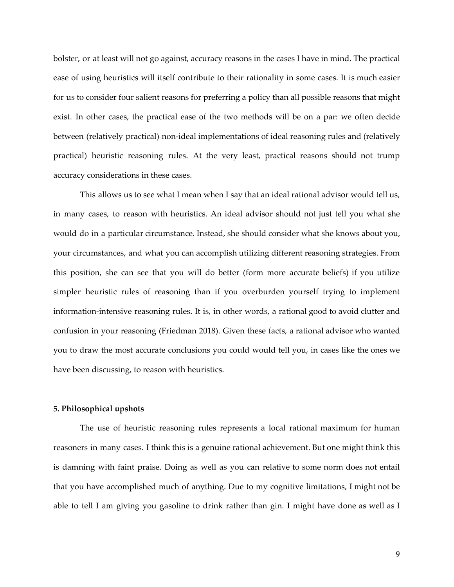bolster, or at least will not go against, accuracy reasons in the cases I have in mind. The practical ease of using heuristics will itself contribute to their rationality in some cases. It is much easier for us to consider four salient reasons for preferring a policy than all possible reasons that might exist. In other cases, the practical ease of the two methods will be on a par: we often decide between (relatively practical) non-ideal implementations of ideal reasoning rules and (relatively practical) heuristic reasoning rules. At the very least, practical reasons should not trump accuracy considerations in these cases.

This allows us to see what I mean when I say that an ideal rational advisor would tell us, in many cases, to reason with heuristics. An ideal advisor should not just tell you what she would do in a particular circumstance. Instead, she should consider what she knows about you, your circumstances, and what you can accomplish utilizing different reasoning strategies. From this position, she can see that you will do better (form more accurate beliefs) if you utilize simpler heuristic rules of reasoning than if you overburden yourself trying to implement information-intensive reasoning rules. It is, in other words, a rational good to avoid clutter and confusion in your reasoning (Friedman 2018). Given these facts, a rational advisor who wanted you to draw the most accurate conclusions you could would tell you, in cases like the ones we have been discussing, to reason with heuristics.

#### **5. Philosophical upshots**

The use of heuristic reasoning rules represents a local rational maximum for human reasoners in many cases. I think this is a genuine rational achievement. But one might think this is damning with faint praise. Doing as well as you can relative to some norm does not entail that you have accomplished much of anything. Due to my cognitive limitations, I might not be able to tell I am giving you gasoline to drink rather than gin. I might have done as well as I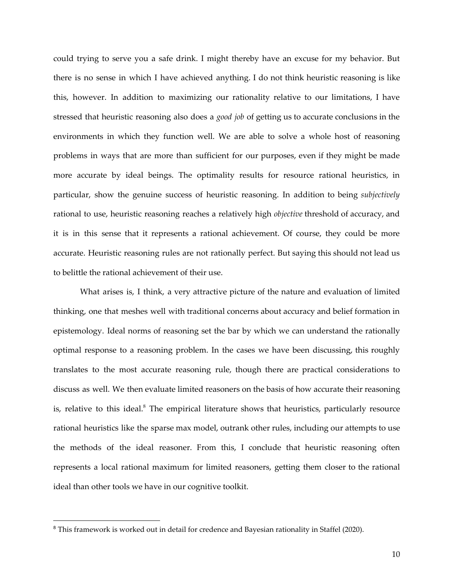could trying to serve you a safe drink. I might thereby have an excuse for my behavior. But there is no sense in which I have achieved anything. I do not think heuristic reasoning is like this, however. In addition to maximizing our rationality relative to our limitations, I have stressed that heuristic reasoning also does a *good job* of getting us to accurate conclusions in the environments in which they function well. We are able to solve a whole host of reasoning problems in ways that are more than sufficient for our purposes, even if they might be made more accurate by ideal beings. The optimality results for resource rational heuristics, in particular, show the genuine success of heuristic reasoning. In addition to being *subjectively* rational to use, heuristic reasoning reaches a relatively high *objective* threshold of accuracy, and it is in this sense that it represents a rational achievement. Of course, they could be more accurate. Heuristic reasoning rules are not rationally perfect. But saying this should not lead us to belittle the rational achievement of their use.

What arises is, I think, a very attractive picture of the nature and evaluation of limited thinking, one that meshes well with traditional concerns about accuracy and belief formation in epistemology. Ideal norms of reasoning set the bar by which we can understand the rationally optimal response to a reasoning problem. In the cases we have been discussing, this roughly translates to the most accurate reasoning rule, though there are practical considerations to discuss as well. We then evaluate limited reasoners on the basis of how accurate their reasoning is, relative to this ideal. $^8$  The empirical literature shows that heuristics, particularly resource rational heuristics like the sparse max model, outrank other rules, including our attempts to use the methods of the ideal reasoner. From this, I conclude that heuristic reasoning often represents a local rational maximum for limited reasoners, getting them closer to the rational ideal than other tools we have in our cognitive toolkit.

<sup>&</sup>lt;sup>8</sup> This framework is worked out in detail for credence and Bayesian rationality in Staffel (2020).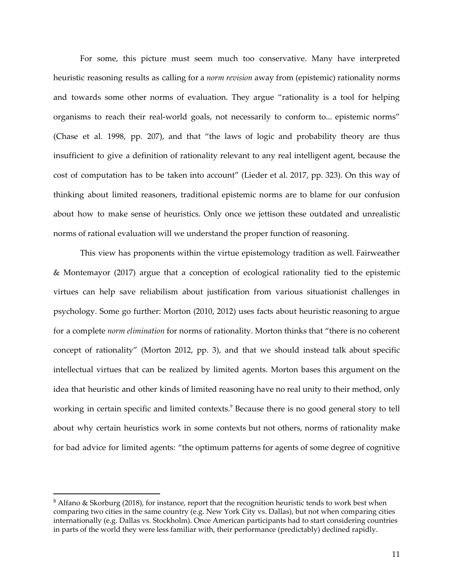For some, this picture must seem much too conservative. Many have interpreted heuristic reasoning results as calling for a *norm revision* away from (epistemic) rationality norms and towards some other norms of evaluation. They argue "rationality is a tool for helping organisms to reach their real-world goals, not necessarily to conform to... epistemic norms" (Chase et al. 1998, pp. 207), and that "the laws of logic and probability theory are thus insufficient to give a definition of rationality relevant to any real intelligent agent, because the cost of computation has to be taken into account" (Lieder et al. 2017, pp. 323). On this way of thinking about limited reasoners, traditional epistemic norms are to blame for our confusion about how to make sense of heuristics. Only once we jettison these outdated and unrealistic norms of rational evaluation will we understand the proper function of reasoning.

This view has proponents within the virtue epistemology tradition as well. Fairweather & Montemayor (2017) argue that a conception of ecological rationality tied to the epistemic virtues can help save reliabilism about justification from various situationist challenges in psychology. Some go further: Morton (2010, 2012) uses facts about heuristic reasoning to argue for a complete *norm elimination* for norms of rationality. Morton thinks that "there is no coherent concept of rationality" (Morton 2012, pp. 3), and that we should instead talk about specific intellectual virtues that can be realized by limited agents. Morton bases this argument on the idea that heuristic and other kinds of limited reasoning have no real unity to their method, only working in certain specific and limited contexts.<sup>9</sup> Because there is no good general story to tell about why certain heuristics work in some contexts but not others, norms of rationality make for bad advice for limited agents: "the optimum patterns for agents of some degree of cognitive

 $9$  Alfano & Skorburg (2018), for instance, report that the recognition heuristic tends to work best when comparing two cities in the same country (e.g. New York City vs. Dallas), but not when comparing cities internationally (e.g. Dallas vs. Stockholm). Once American participants had to start considering countries in parts of the world they were less familiar with, their performance (predictably) declined rapidly.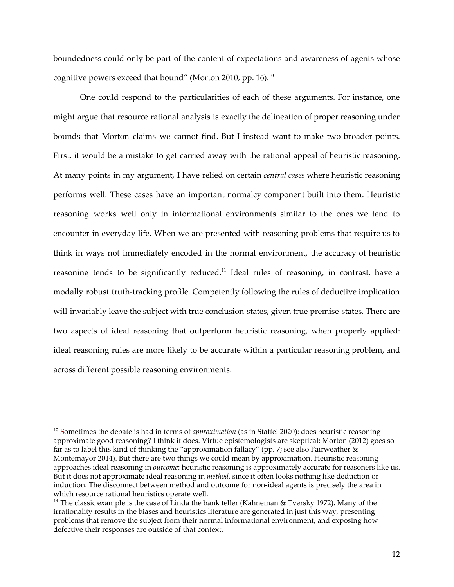boundedness could only be part of the content of expectations and awareness of agents whose cognitive powers exceed that bound" (Morton 2010, pp. 16). $^{\rm 10}$ 

One could respond to the particularities of each of these arguments. For instance, one might argue that resource rational analysis is exactly the delineation of proper reasoning under bounds that Morton claims we cannot find. But I instead want to make two broader points. First, it would be a mistake to get carried away with the rational appeal of heuristic reasoning. At many points in my argument, I have relied on certain *central cases* where heuristic reasoning performs well. These cases have an important normalcy component built into them. Heuristic reasoning works well only in informational environments similar to the ones we tend to encounter in everyday life. When we are presented with reasoning problems that require us to think in ways not immediately encoded in the normal environment, the accuracy of heuristic reasoning tends to be significantly reduced. $^{11}$  Ideal rules of reasoning, in contrast, have a modally robust truth-tracking profile. Competently following the rules of deductive implication will invariably leave the subject with true conclusion-states, given true premise-states. There are two aspects of ideal reasoning that outperform heuristic reasoning, when properly applied: ideal reasoning rules are more likely to be accurate within a particular reasoning problem, and across different possible reasoning environments.

<sup>10</sup> Sometimes the debate is had in terms of *approximation* (as in Staffel 2020): does heuristic reasoning approximate good reasoning? I think it does. Virtue epistemologists are skeptical; Morton (2012) goes so far as to label this kind of thinking the "approximation fallacy" (pp. 7; see also Fairweather & Montemayor 2014). But there are two things we could mean by approximation. Heuristic reasoning approaches ideal reasoning in *outcome*: heuristic reasoning is approximately accurate for reasoners like us. But it does not approximate ideal reasoning in *method*, since it often looks nothing like deduction or induction. The disconnect between method and outcome for non-ideal agents is precisely the area in which resource rational heuristics operate well.

<sup>11</sup> The classic example is the case of Linda the bank teller (Kahneman & Tversky 1972). Many of the irrationality results in the biases and heuristics literature are generated in just this way, presenting problems that remove the subject from their normal informational environment, and exposing how defective their responses are outside of that context.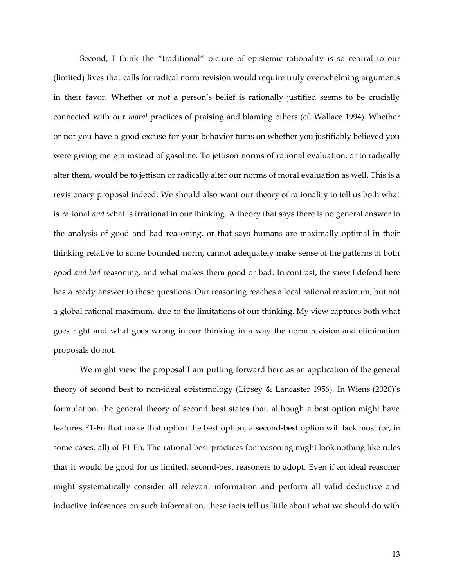Second, I think the "traditional" picture of epistemic rationality is so central to our (limited) lives that calls for radical norm revision would require truly overwhelming arguments in their favor. Whether or not a person's belief is rationally justified seems to be crucially connected with our *moral* practices of praising and blaming others (cf. Wallace 1994). Whether or not you have a good excuse for your behavior turns on whether you justifiably believed you were giving me gin instead of gasoline. To jettison norms of rational evaluation, or to radically alter them, would be to jettison or radically alter our norms of moral evaluation as well. This is a revisionary proposal indeed. We should also want our theory of rationality to tell us both what is rational *and* what is irrational in our thinking. A theory that says there is no general answer to the analysis of good and bad reasoning, or that says humans are maximally optimal in their thinking relative to some bounded norm, cannot adequately make sense of the patterns of both good *and bad* reasoning, and what makes them good or bad. In contrast, the view I defend here has a ready answer to these questions. Our reasoning reaches a local rational maximum, but not a global rational maximum, due to the limitations of our thinking. My view captures both what goes right and what goes wrong in our thinking in a way the norm revision and elimination proposals do not.

We might view the proposal I am putting forward here as an application of the general theory of second best to non-ideal epistemology (Lipsey & Lancaster 1956). In Wiens (2020)'s formulation, the general theory of second best states that, although a best option might have features F1-Fn that make that option the best option, a second-best option will lack most (or, in some cases, all) of F1-Fn. The rational best practices for reasoning might look nothing like rules that it would be good for us limited, second-best reasoners to adopt. Even if an ideal reasoner might systematically consider all relevant information and perform all valid deductive and inductive inferences on such information, these facts tell us little about what we should do with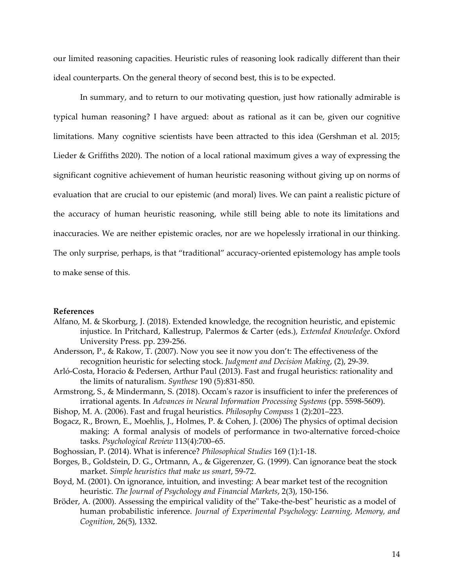our limited reasoning capacities. Heuristic rules of reasoning look radically different than their ideal counterparts. On the general theory of second best, this is to be expected.

In summary, and to return to our motivating question, just how rationally admirable is typical human reasoning? I have argued: about as rational as it can be, given our cognitive limitations. Many cognitive scientists have been attracted to this idea (Gershman et al. 2015; Lieder & Griffiths 2020). The notion of a local rational maximum gives a way of expressing the significant cognitive achievement of human heuristic reasoning without giving up on norms of evaluation that are crucial to our epistemic (and moral) lives. We can paint a realistic picture of the accuracy of human heuristic reasoning, while still being able to note its limitations and inaccuracies. We are neither epistemic oracles, nor are we hopelessly irrational in our thinking. The only surprise, perhaps, is that "traditional" accuracy-oriented epistemology has ample tools to make sense of this.

#### **References**

- Alfano, M. & Skorburg, J. (2018). Extended knowledge, the recognition heuristic, and epistemic injustice. In Pritchard, Kallestrup, Palermos & Carter (eds.), *Extended Knowledge*. Oxford University Press. pp. 239-256.
- Andersson, P., & Rakow, T. (2007). Now you see it now you don't: The effectiveness of the recognition heuristic for selecting stock. *Judgment and Decision Making*, (2), 29-39.
- Arló-Costa, Horacio & Pedersen, Arthur Paul (2013). Fast and frugal heuristics: rationality and the limits of naturalism. *Synthese* 190 (5):831-850.
- Armstrong, S., & Mindermann, S. (2018). Occam's razor is insufficient to infer the preferences of irrational agents. In *Advances in Neural Information Processing Systems* (pp. 5598-5609).
- Bishop, M. A. (2006). Fast and frugal heuristics. *Philosophy Compass* 1 (2):201–223.
- Bogacz, R., Brown, E., Moehlis, J., Holmes, P. & Cohen, J. (2006) The physics of optimal decision making: A formal analysis of models of performance in two-alternative forced-choice tasks. *Psychological Review* 113(4):700–65.
- Boghossian, P. (2014). What is inference? *Philosophical Studies* 169 (1):1-18.
- Borges, B., Goldstein, D. G., Ortmann, A., & Gigerenzer, G. (1999). Can ignorance beat the stock market. *Simple heuristics that make us smart*, 59-72.
- Boyd, M. (2001). On ignorance, intuition, and investing: A bear market test of the recognition heuristic. *The Journal of Psychology and Financial Markets*, 2(3), 150-156.
- Bröder, A. (2000). Assessing the empirical validity of the" Take-the-best" heuristic as a model of human probabilistic inference. *Journal of Experimental Psychology: Learning, Memory, and Cognition*, 26(5), 1332.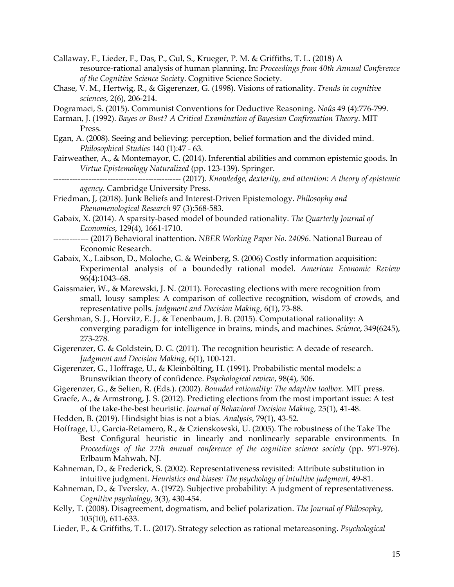Callaway, F., Lieder, F., Das, P., Gul, S., Krueger, P. M. & Griffiths, T. L. (2018) A resource-rational analysis of human planning. In: *Proceedings from 40th Annual Conference of the Cognitive Science Society*. Cognitive Science Society.

Chase, V. M., Hertwig, R., & Gigerenzer, G. (1998). Visions of rationality. *Trends in cognitive sciences*, 2(6), 206-214.

Dogramaci, S. (2015). Communist Conventions for Deductive Reasoning. *Noûs* 49 (4):776-799.

- Earman, J. (1992). *Bayes or Bust? A Critical Examination of Bayesian Confirmation Theory*. MIT Press.
- Egan, A. (2008). Seeing and believing: perception, belief formation and the divided mind. *Philosophical Studies* 140 (1):47 - 63.
- Fairweather, A., & Montemayor, C. (2014). Inferential abilities and common epistemic goods. In *Virtue Epistemology Naturalized* (pp. 123-139). Springer.
	- ----------------------------------------------- (2017). *Knowledge, dexterity, and attention: A theory of epistemic agency.* Cambridge University Press.
- Friedman, J, (2018). Junk Beliefs and Interest-Driven Epistemology. *Philosophy and Phenomenological Research* 97 (3):568-583.
- Gabaix, X. (2014). A sparsity-based model of bounded rationality. *The Quarterly Journal of Economics*, 129(4), 1661-1710.
- ------------- (2017) Behavioral inattention. *NBER Working Paper No. 24096*. National Bureau of Economic Research.
- Gabaix, X., Laibson, D., Moloche, G. & Weinberg, S. (2006) Costly information acquisition: Experimental analysis of a boundedly rational model. *American Economic Review* 96(4):1043–68.
- Gaissmaier, W., & Marewski, J. N. (2011). Forecasting elections with mere recognition from small, lousy samples: A comparison of collective recognition, wisdom of crowds, and representative polls. *Judgment and Decision Making*, 6(1), 73-88.
- Gershman, S. J., Horvitz, E. J., & Tenenbaum, J. B. (2015). Computational rationality: A converging paradigm for intelligence in brains, minds, and machines. *Science*, 349(6245), 273-278.
- Gigerenzer, G. & Goldstein, D. G. (2011). The recognition heuristic: A decade of research. *Judgment and Decision Making*, 6(1), 100-121.
- Gigerenzer, G., Hoffrage, U., & Kleinbölting, H. (1991). Probabilistic mental models: a Brunswikian theory of confidence. *Psychological review*, 98(4), 506.
- Gigerenzer, G., & Selten, R. (Eds.). (2002). *Bounded rationality: The adaptive toolbox*. MIT press.
- Graefe, A., & Armstrong, J. S. (2012). Predicting elections from the most important issue: A test of the take-the-best heuristic. *Journal of Behavioral Decision Making,* 25(1), 41-48.
- Hedden, B. (2019). Hindsight bias is not a bias. *Analysis*, 79(1), 43-52.
- Hoffrage, U., Garcia-Retamero, R., & Czienskowski, U. (2005). The robustness of the Take The Best Configural heuristic in linearly and nonlinearly separable environments. In *Proceedings of the 27th annual conference of the cognitive science society* (pp. 971-976). Erlbaum Mahwah, NJ.
- Kahneman, D., & Frederick, S. (2002). Representativeness revisited: Attribute substitution in intuitive judgment. *Heuristics and biases: The psychology of intuitive judgment*, 49-81.
- Kahneman, D., & Tversky, A. (1972). Subjective probability: A judgment of representativeness. *Cognitive psychology*, 3(3), 430-454.
- Kelly, T. (2008). Disagreement, dogmatism, and belief polarization. *The Journal of Philosophy*, 105(10), 611-633.
- Lieder, F., & Griffiths, T. L. (2017). Strategy selection as rational metareasoning. *Psychological*